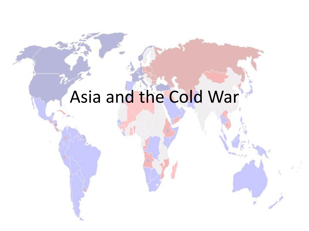# Asia and the Cold War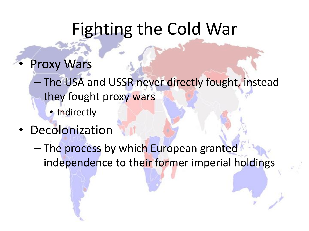## Fighting the Cold War

- **Proxy Wars** 
	- The USA and USSR never directly fought, instead they fought proxy wars
		- Indirectly
- Decolonization
	- The process by which European granted independence to their former imperial holdings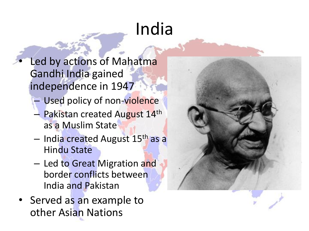# India

- Led by actions of Mahatma Gandhi India gained independence in 1947
	- Used policy of non-violence
	- Pakistan created August 14th as a Muslim State
	- India created August 15th as a Hindu State
	- Led to Great Migration and border conflicts between India and Pakistan
- Served as an example to other Asian Nations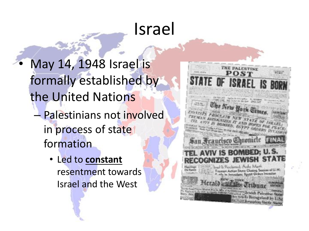### Israel

- May 14, 1948 Israel is formally established by the United Nations – Palestinians not involved in process of state formation
	- Led to **constant**  resentment towards Israel and the West

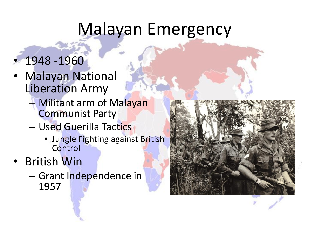# Malayan Emergency

- 1948 -1960
- **Malayan National** Liberation Army
	- Militant arm of Malayan Communist Party
	- Used Guerilla Tactics
		- Jungle Fighting against British **Control**
- British Win
	- Grant Independence in 1957

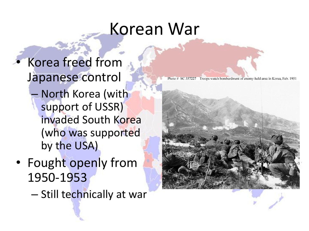# Korean War

• Korea freed from Japanese control – North Korea (with support of USSR) invaded South Korea (who was supported by the USA)

• Fought openly from 1950-1953

– Still technically at war

Photo # SC 357227 Troops watch bombardment of enemy-held area in Korea, Feb. 1951



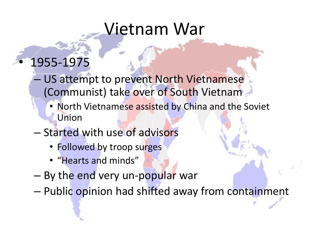#### Vietnam War

#### • 1955-1975

- US attempt to prevent North Vietnamese (Communist) take over of South Vietnam
	- North Vietnamese assisted by China and the Soviet Union
- Started with use of advisors
	- Followed by troop surges
	- "Hearts and minds"
- By the end very un-popular war
- Public opinion had shifted away from containment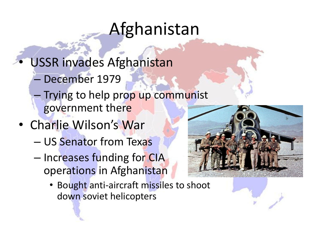# Afghanistan

- USSR invades Afghanistan
	- December 1979
	- Trying to help prop up communist government there
- Charlie Wilson's War
	- US Senator from Texas
	- Increases funding for CIA operations in Afghanistan
		- Bought anti-aircraft missiles to shoot down soviet helicopters